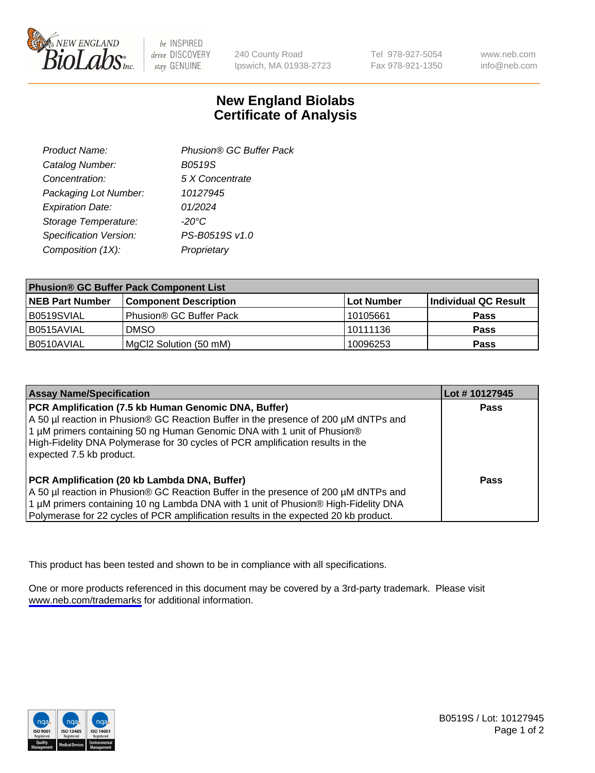

be INSPIRED drive DISCOVERY stay GENUINE

240 County Road Ipswich, MA 01938-2723 Tel 978-927-5054 Fax 978-921-1350

www.neb.com info@neb.com

## **New England Biolabs Certificate of Analysis**

| Product Name:           | Phusion® GC Buffer Pack |
|-------------------------|-------------------------|
| Catalog Number:         | B0519S                  |
| Concentration:          | 5 X Concentrate         |
| Packaging Lot Number:   | 10127945                |
| <b>Expiration Date:</b> | 01/2024                 |
| Storage Temperature:    | $-20^{\circ}$ C         |
| Specification Version:  | PS-B0519S v1.0          |
| Composition (1X):       | Proprietary             |
|                         |                         |

| <b>Phusion® GC Buffer Pack Component List</b> |                              |             |                      |  |
|-----------------------------------------------|------------------------------|-------------|----------------------|--|
| <b>NEB Part Number</b>                        | <b>Component Description</b> | ∣Lot Number | Individual QC Result |  |
| B0519SVIAL                                    | Phusion® GC Buffer Pack      | 10105661    | <b>Pass</b>          |  |
| B0515AVIAL                                    | <b>DMSO</b>                  | 10111136    | <b>Pass</b>          |  |
| B0510AVIAL                                    | MgCl2 Solution (50 mM)       | 10096253    | <b>Pass</b>          |  |

| <b>Assay Name/Specification</b>                                                                                                                                                                                                                                                                                                      | Lot #10127945 |
|--------------------------------------------------------------------------------------------------------------------------------------------------------------------------------------------------------------------------------------------------------------------------------------------------------------------------------------|---------------|
| PCR Amplification (7.5 kb Human Genomic DNA, Buffer)<br>A 50 µl reaction in Phusion® GC Reaction Buffer in the presence of 200 µM dNTPs and<br>1 µM primers containing 50 ng Human Genomic DNA with 1 unit of Phusion®<br>High-Fidelity DNA Polymerase for 30 cycles of PCR amplification results in the<br>expected 7.5 kb product. | <b>Pass</b>   |
| PCR Amplification (20 kb Lambda DNA, Buffer)<br>A 50 µl reaction in Phusion® GC Reaction Buffer in the presence of 200 µM dNTPs and<br>1 µM primers containing 10 ng Lambda DNA with 1 unit of Phusion® High-Fidelity DNA<br>Polymerase for 22 cycles of PCR amplification results in the expected 20 kb product.                    | <b>Pass</b>   |

This product has been tested and shown to be in compliance with all specifications.

One or more products referenced in this document may be covered by a 3rd-party trademark. Please visit <www.neb.com/trademarks>for additional information.